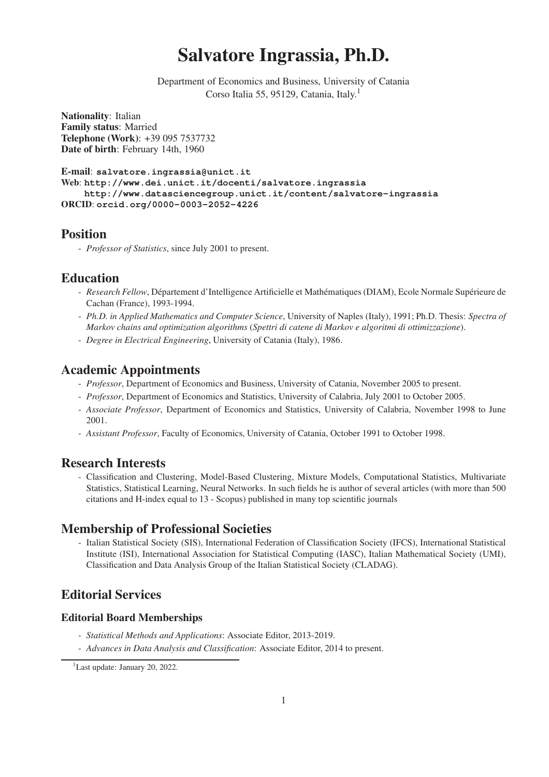# Salvatore Ingrassia, Ph.D.

Department of Economics and Business, University of Catania Corso Italia 55, 95129, Catania, Italy.<sup>1</sup>

Nationality: Italian Family status: Married Telephone (Work): +39 095 7537732 Date of birth: February 14th, 1960

E-mail: **salvatore.ingrassia@unict.it** Web: **http://www.dei.unict.it/docenti/salvatore.ingrassia http://www.datasciencegroup.unict.it/content/salvatore-ingrassia** ORCID: **orcid.org/0000-0003-2052-4226**

### Position

- *Professor of Statistics*, since July 2001 to present.

### Education

- *Research Fellow*, Département d'Intelligence Artificielle et Mathématiques (DIAM), Ecole Normale Supérieure de Cachan (France), 1993-1994.
- *Ph.D. in Applied Mathematics and Computer Science*, University of Naples (Italy), 1991; Ph.D. Thesis: *Spectra of Markov chains and optimization algorithms* (*Spettri di catene di Markov e algoritmi di ottimizzazione*).
- *Degree in Electrical Engineering*, University of Catania (Italy), 1986.

### Academic Appointments

- *Professor*, Department of Economics and Business, University of Catania, November 2005 to present.
- *Professor*, Department of Economics and Statistics, University of Calabria, July 2001 to October 2005.
- *Associate Professor*, Department of Economics and Statistics, University of Calabria, November 1998 to June 2001.
- *Assistant Professor*, Faculty of Economics, University of Catania, October 1991 to October 1998.

### Research Interests

- Classification and Clustering, Model-Based Clustering, Mixture Models, Computational Statistics, Multivariate Statistics, Statistical Learning, Neural Networks. In such fields he is author of several articles (with more than 500 citations and H-index equal to 13 - Scopus) published in many top scientific journals

# Membership of Professional Societies

- Italian Statistical Society (SIS), International Federation of Classification Society (IFCS), International Statistical Institute (ISI), International Association for Statistical Computing (IASC), Italian Mathematical Society (UMI), Classification and Data Analysis Group of the Italian Statistical Society (CLADAG).

# Editorial Services

### Editorial Board Memberships

- *Statistical Methods and Applications*: Associate Editor, 2013-2019.
- *Advances in Data Analysis and Classification*: Associate Editor, 2014 to present.

<sup>&</sup>lt;sup>1</sup>Last update: January 20, 2022.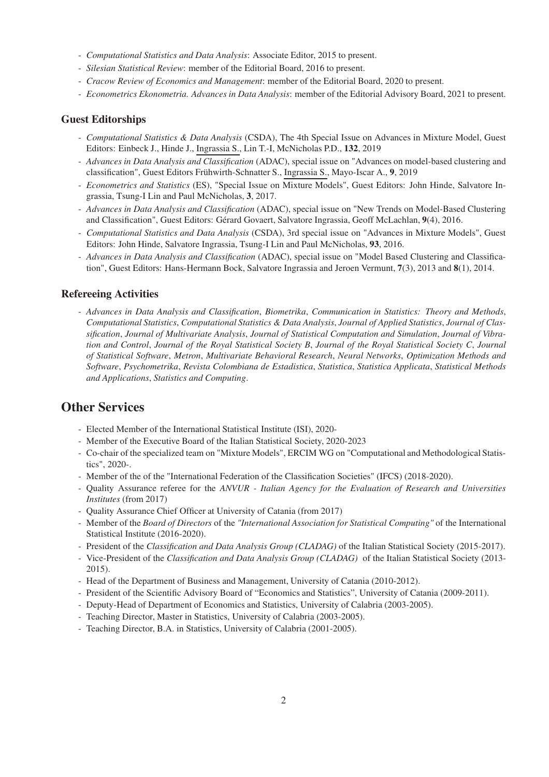- *Computational Statistics and Data Analysis*: Associate Editor, 2015 to present.
- *Silesian Statistical Review*: member of the Editorial Board, 2016 to present.
- *Cracow Review of Economics and Management*: member of the Editorial Board, 2020 to present.
- *Econometrics Ekonometria. Advances in Data Analysis*: member of the Editorial Advisory Board, 2021 to present.

#### Guest Editorships

- *Computational Statistics & Data Analysis* (CSDA), The 4th Special Issue on Advances in Mixture Model, Guest Editors: Einbeck J., Hinde J., Ingrassia S., Lin T.-I, McNicholas P.D., 132, 2019
- *Advances in Data Analysis and Classification* (ADAC), special issue on "Advances on model-based clustering and classification", Guest Editors Frühwirth-Schnatter S., Ingrassia S., Mayo-Iscar A., 9, 2019
- *Econometrics and Statistics* (ES), "Special Issue on Mixture Models", Guest Editors: John Hinde, Salvatore Ingrassia, Tsung-I Lin and Paul McNicholas, 3, 2017.
- *Advances in Data Analysis and Classification* (ADAC), special issue on "New Trends on Model-Based Clustering and Classification", Guest Editors: Gérard Govaert, Salvatore Ingrassia, Geoff McLachlan, 9(4), 2016.
- *Computational Statistics and Data Analysis* (CSDA), 3rd special issue on "Advances in Mixture Models", Guest Editors: John Hinde, Salvatore Ingrassia, Tsung-I Lin and Paul McNicholas, 93, 2016.
- *Advances in Data Analysis and Classification* (ADAC), special issue on "Model Based Clustering and Classification", Guest Editors: Hans-Hermann Bock, Salvatore Ingrassia and Jeroen Vermunt, 7(3), 2013 and 8(1), 2014.

#### Refereeing Activities

- *Advances in Data Analysis and Classification*, *Biometrika*, *Communication in Statistics: Theory and Methods*, *Computational Statistics*, *Computational Statistics & Data Analysis*, *Journal of Applied Statistics*, *Journal of Classification*, *Journal of Multivariate Analysis*, *Journal of Statistical Computation and Simulation*, *Journal of Vibration and Control*, *Journal of the Royal Statistical Society B*, *Journal of the Royal Statistical Society C*, *Journal of Statistical Software*, *Metron*, *Multivariate Behavioral Research*, *Neural Networks*, *Optimization Methods and Software*, *Psychometrika*, *Revista Colombiana de Estadistica*, *Statistica*, *Statistica Applicata*, *Statistical Methods and Applications*, *Statistics and Computing*.

### Other Services

- Elected Member of the International Statistical Institute (ISI), 2020-
- Member of the Executive Board of the Italian Statistical Society, 2020-2023
- Co-chair of the specialized team on "Mixture Models", ERCIM WG on "Computational and Methodological Statistics", 2020-.
- Member of the of the "International Federation of the Classification Societies" (IFCS) (2018-2020).
- Quality Assurance referee for the *ANVUR Italian Agency for the Evaluation of Research and Universities Institutes* (from 2017)
- Quality Assurance Chief Officer at University of Catania (from 2017)
- Member of the *Board of Directors* of the *"International Association for Statistical Computing"* of the International Statistical Institute (2016-2020).
- President of the *Classification and Data Analysis Group (CLADAG)* of the Italian Statistical Society (2015-2017).
- Vice-President of the *Classification and Data Analysis Group (CLADAG)* of the Italian Statistical Society (2013- 2015).
- Head of the Department of Business and Management, University of Catania (2010-2012).
- President of the Scientific Advisory Board of "Economics and Statistics", University of Catania (2009-2011).
- Deputy-Head of Department of Economics and Statistics, University of Calabria (2003-2005).
- Teaching Director, Master in Statistics, University of Calabria (2003-2005).
- Teaching Director, B.A. in Statistics, University of Calabria (2001-2005).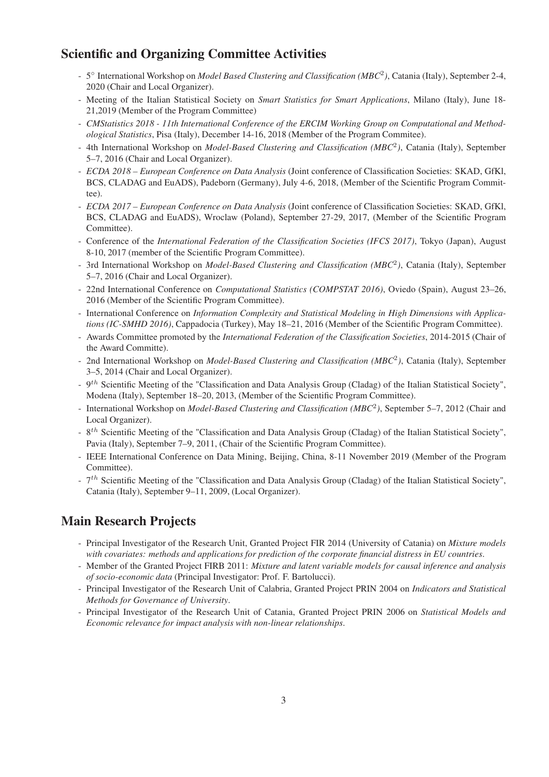# Scientific and Organizing Committee Activities

- 5◦ International Workshop on *Model Based Clustering and Classification (MBC*2*)*, Catania (Italy), September 2-4, 2020 (Chair and Local Organizer).
- Meeting of the Italian Statistical Society on *Smart Statistics for Smart Applications*, Milano (Italy), June 18- 21,2019 (Member of the Program Committee)
- *CMStatistics 2018 11th International Conference of the ERCIM Working Group on Computational and Methodological Statistics*, Pisa (Italy), December 14-16, 2018 (Member of the Program Commitee).
- 4th International Workshop on *Model-Based Clustering and Classification (MBC*2*)*, Catania (Italy), September 5–7, 2016 (Chair and Local Organizer).
- *ECDA 2018 European Conference on Data Analysis* (Joint conference of Classification Societies: SKAD, GfKl, BCS, CLADAG and EuADS), Padeborn (Germany), July 4-6, 2018, (Member of the Scientific Program Committee).
- *ECDA 2017 European Conference on Data Analysis* (Joint conference of Classification Societies: SKAD, GfKl, BCS, CLADAG and EuADS), Wroclaw (Poland), September 27-29, 2017, (Member of the Scientific Program Committee).
- Conference of the *International Federation of the Classification Societies (IFCS 2017)*, Tokyo (Japan), August 8-10, 2017 (member of the Scientific Program Committee).
- 3rd International Workshop on *Model-Based Clustering and Classification (MBC*2*)*, Catania (Italy), September 5–7, 2016 (Chair and Local Organizer).
- 22nd International Conference on *Computational Statistics (COMPSTAT 2016)*, Oviedo (Spain), August 23–26, 2016 (Member of the Scientific Program Committee).
- International Conference on *Information Complexity and Statistical Modeling in High Dimensions with Applications (IC-SMHD 2016)*, Cappadocia (Turkey), May 18–21, 2016 (Member of the Scientific Program Committee).
- Awards Committee promoted by the *International Federation of the Classification Societies*, 2014-2015 (Chair of the Award Committe).
- 2nd International Workshop on *Model-Based Clustering and Classification (MBC*<sup>2</sup>*)*, Catania (Italy), September 3–5, 2014 (Chair and Local Organizer).
- 9*th* Scientific Meeting of the "Classification and Data Analysis Group (Cladag) of the Italian Statistical Society", Modena (Italy), September 18–20, 2013, (Member of the Scientific Program Committee).
- International Workshop on *Model-Based Clustering and Classification (MBC*<sup>2</sup>*)*, September 5–7, 2012 (Chair and Local Organizer).
- 8*th* Scientific Meeting of the "Classification and Data Analysis Group (Cladag) of the Italian Statistical Society", Pavia (Italy), September 7–9, 2011, (Chair of the Scientific Program Committee).
- IEEE International Conference on Data Mining, Beijing, China, 8-11 November 2019 (Member of the Program Committee).
- 7*th* Scientific Meeting of the "Classification and Data Analysis Group (Cladag) of the Italian Statistical Society", Catania (Italy), September 9–11, 2009, (Local Organizer).

# Main Research Projects

- Principal Investigator of the Research Unit, Granted Project FIR 2014 (University of Catania) on *Mixture models with covariates: methods and applications for prediction of the corporate financial distress in EU countries*.
- Member of the Granted Project FIRB 2011: *Mixture and latent variable models for causal inference and analysis of socio-economic data* (Principal Investigator: Prof. F. Bartolucci).
- Principal Investigator of the Research Unit of Calabria, Granted Project PRIN 2004 on *Indicators and Statistical Methods for Governance of University*.
- Principal Investigator of the Research Unit of Catania, Granted Project PRIN 2006 on *Statistical Models and Economic relevance for impact analysis with non-linear relationships*.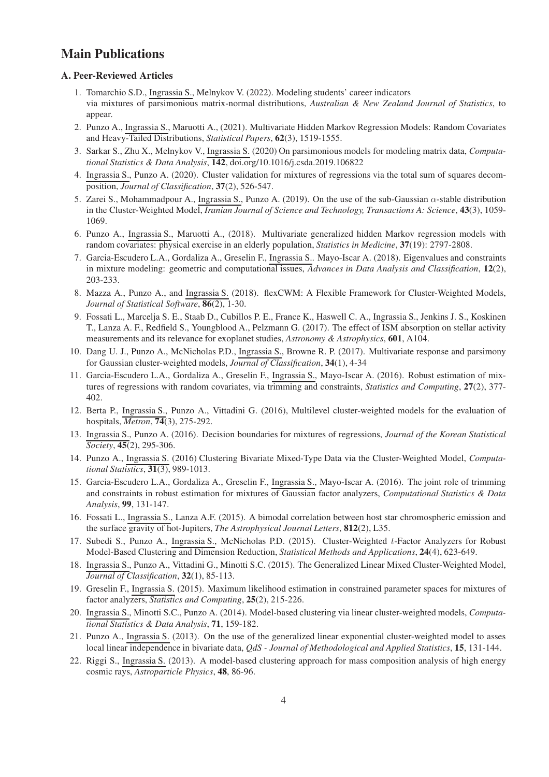### Main Publications

#### A. Peer-Reviewed Articles

- 1. Tomarchio S.D., Ingrassia S., Melnykov V. (2022). Modeling students' career indicators via mixtures of parsimonious matrix-normal distributions, *Australian & New Zealand Journal of Statistics*, to appear.
- 2. Punzo A., Ingrassia S., Maruotti A., (2021). Multivariate Hidden Markov Regression Models: Random Covariates and Heavy-Tailed Distributions, *Statistical Papers*, 62(3), 1519-1555.
- 3. Sarkar S., Zhu X., Melnykov V., Ingrassia S. (2020) On parsimonious models for modeling matrix data, *Computational Statistics & Data Analysis*, 142, doi.org/10.1016/j.csda.2019.106822
- 4. Ingrassia S., Punzo A. (2020). Cluster validation for mixtures of regressions via the total sum of squares decomposition, *Journal of Classification*, 37(2), 526-547.
- 5. Zarei S., Mohammadpour A., Ingrassia S., Punzo A. (2019). On the use of the sub-Gaussian  $\alpha$ -stable distribution in the Cluster-Weighted Model, *Iranian Journal of Science and Technology, Transactions A: Science*, 43(3), 1059- 1069.
- 6. Punzo A., Ingrassia S., Maruotti A., (2018). Multivariate generalized hidden Markov regression models with random covariates: physical exercise in an elderly population, *Statistics in Medicine*, 37(19): 2797-2808.
- 7. Garcia-Escudero L.A., Gordaliza A., Greselin F., Ingrassia S.. Mayo-Iscar A. (2018). Eigenvalues and constraints in mixture modeling: geometric and computational issues, *Advances in Data Analysis and Classification*, 12(2), 203-233.
- 8. Mazza A., Punzo A., and Ingrassia S. (2018). flexCWM: A Flexible Framework for Cluster-Weighted Models, *Journal of Statistical Software*, 86(2), 1-30.
- 9. Fossati L., Marcelja S. E., Staab D., Cubillos P. E., France K., Haswell C. A., Ingrassia S., Jenkins J. S., Koskinen T., Lanza A. F., Redfield S., Youngblood A., Pelzmann G. (2017). The effect of ISM absorption on stellar activity measurements and its relevance for exoplanet studies, *Astronomy & Astrophysics*, 601, A104.
- 10. Dang U. J., Punzo A., McNicholas P.D., Ingrassia S., Browne R. P. (2017). Multivariate response and parsimony for Gaussian cluster-weighted models, *Journal of Classification*, 34(1), 4-34
- 11. Garcia-Escudero L.A., Gordaliza A., Greselin F., Ingrassia S., Mayo-Iscar A. (2016). Robust estimation of mixtures of regressions with random covariates, via trimming and constraints, *Statistics and Computing*, 27(2), 377- 402.
- 12. Berta P., Ingrassia S., Punzo A., Vittadini G. (2016), Multilevel cluster-weighted models for the evaluation of hospitals, *Metron*, 74(3), 275-292.
- 13. Ingrassia S., Punzo A. (2016). Decision boundaries for mixtures of regressions, *Journal of the Korean Statistical Society*, 45(2), 295-306.
- 14. Punzo A., Ingrassia S. (2016) Clustering Bivariate Mixed-Type Data via the Cluster-Weighted Model, *Computational Statistics*, 31(3), 989-1013.
- 15. Garcia-Escudero L.A., Gordaliza A., Greselin F., Ingrassia S., Mayo-Iscar A. (2016). The joint role of trimming and constraints in robust estimation for mixtures of Gaussian factor analyzers, *Computational Statistics & Data Analysis*, 99, 131-147.
- 16. Fossati L., Ingrassia S., Lanza A.F. (2015). A bimodal correlation between host star chromospheric emission and the surface gravity of hot-Jupiters, *The Astrophysical Journal Letters*, 812(2), L35.
- 17. Subedi S., Punzo A., Ingrassia S., McNicholas P.D. (2015). Cluster-Weighted t-Factor Analyzers for Robust Model-Based Clustering and Dimension Reduction, *Statistical Methods and Applications*, 24(4), 623-649.
- 18. Ingrassia S., Punzo A., Vittadini G., Minotti S.C. (2015). The Generalized Linear Mixed Cluster-Weighted Model, *Journal of Classification*, 32(1), 85-113.
- 19. Greselin F., Ingrassia S. (2015). Maximum likelihood estimation in constrained parameter spaces for mixtures of factor analyzers, *Statistics and Computing*, 25(2), 215-226.
- 20. Ingrassia S., Minotti S.C., Punzo A. (2014). Model-based clustering via linear cluster-weighted models, *Computational Statistics & Data Analysis*, 71, 159-182.
- 21. Punzo A., Ingrassia S. (2013). On the use of the generalized linear exponential cluster-weighted model to asses local linear independence in bivariate data, *QdS - Journal of Methodological and Applied Statistics*, 15, 131-144.
- 22. Riggi S., Ingrassia S. (2013). A model-based clustering approach for mass composition analysis of high energy cosmic rays, *Astroparticle Physics*, 48, 86-96.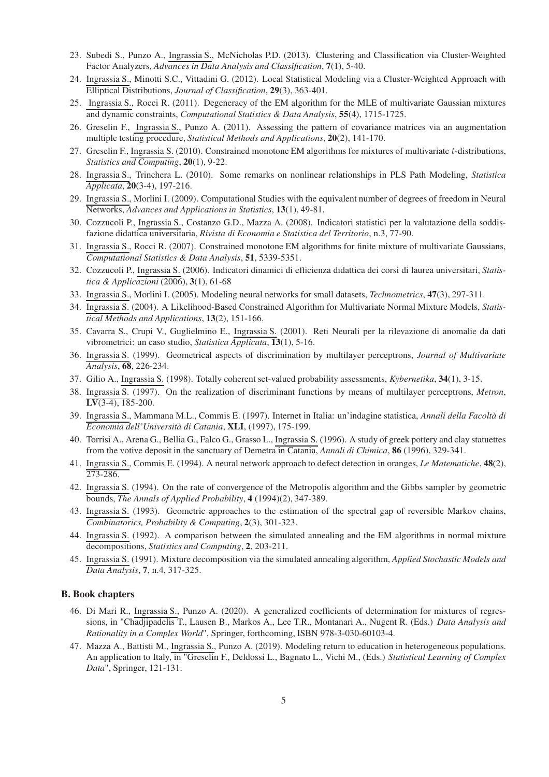- 23. Subedi S., Punzo A., Ingrassia S., McNicholas P.D. (2013). Clustering and Classification via Cluster-Weighted Factor Analyzers, *Advances in Data Analysis and Classification*, 7(1), 5-40.
- 24. Ingrassia S., Minotti S.C., Vittadini G. (2012). Local Statistical Modeling via a Cluster-Weighted Approach with Elliptical Distributions, *Journal of Classification*, 29(3), 363-401.
- 25. Ingrassia S., Rocci R. (2011). Degeneracy of the EM algorithm for the MLE of multivariate Gaussian mixtures and dynamic constraints, *Computational Statistics & Data Analysis*, 55(4), 1715-1725.
- 26. Greselin F., Ingrassia S., Punzo A. (2011). Assessing the pattern of covariance matrices via an augmentation multiple testing procedure, *Statistical Methods and Applications*, 20(2), 141-170.
- 27. Greselin F., Ingrassia S. (2010). Constrained monotone EM algorithms for mixtures of multivariate t-distributions, *Statistics and Computing*, 20(1), 9-22.
- 28. Ingrassia S., Trinchera L. (2010). Some remarks on nonlinear relationships in PLS Path Modeling, *Statistica Applicata*, 20(3-4), 197-216.
- 29. Ingrassia S., Morlini I. (2009). Computational Studies with the equivalent number of degrees of freedom in Neural Networks, *Advances and Applications in Statistics*, 13(1), 49-81.
- 30. Cozzucoli P., Ingrassia S., Costanzo G.D., Mazza A. (2008). Indicatori statistici per la valutazione della soddisfazione didattica universitaria, *Rivista di Economia e Statistica del Territorio*, n.3, 77-90.
- 31. Ingrassia S., Rocci R. (2007). Constrained monotone EM algorithms for finite mixture of multivariate Gaussians, *Computational Statistics & Data Analysis*, 51, 5339-5351.
- 32. Cozzucoli P., Ingrassia S. (2006). Indicatori dinamici di efficienza didattica dei corsi di laurea universitari, *Statistica & Applicazioni* (2006), 3(1), 61-68
- 33. Ingrassia S., Morlini I. (2005). Modeling neural networks for small datasets, *Technometrics*, 47(3), 297-311.
- 34. Ingrassia S. (2004). A Likelihood-Based Constrained Algorithm for Multivariate Normal Mixture Models, *Statistical Methods and Applications*, 13(2), 151-166.
- 35. Cavarra S., Crupi V., Guglielmino E., Ingrassia S. (2001). Reti Neurali per la rilevazione di anomalie da dati vibrometrici: un caso studio, *Statistica Applicata*, 13(1), 5-16.
- 36. Ingrassia S. (1999). Geometrical aspects of discrimination by multilayer perceptrons, *Journal of Multivariate Analysis*, 68, 226-234.
- 37. Gilio A., Ingrassia S. (1998). Totally coherent set-valued probability assessments, *Kybernetika*, 34(1), 3-15.
- 38. Ingrassia S. (1997). On the realization of discriminant functions by means of multilayer perceptrons, *Metron*,  $LV(3-4)$ , 185-200.
- 39. Ingrassia S., Mammana M.L., Commis E. (1997). Internet in Italia: un'indagine statistica, *Annali della Facoltà di Economia dell'Università di Catania*, XLI, (1997), 175-199.
- 40. Torrisi A., Arena G., Bellia G., Falco G., Grasso L., Ingrassia S. (1996). A study of greek pottery and clay statuettes from the votive deposit in the sanctuary of Demetra in Catania, *Annali di Chimica*, 86 (1996), 329-341.
- 41. Ingrassia S., Commis E. (1994). A neural network approach to defect detection in oranges, *Le Matematiche*, 48(2), 273-286.
- 42. Ingrassia S. (1994). On the rate of convergence of the Metropolis algorithm and the Gibbs sampler by geometric bounds, *The Annals of Applied Probability*, 4 (1994)(2), 347-389.
- 43. Ingrassia S. (1993). Geometric approaches to the estimation of the spectral gap of reversible Markov chains, *Combinatorics, Probability & Computing*, 2(3), 301-323.
- 44. Ingrassia S. (1992). A comparison between the simulated annealing and the EM algorithms in normal mixture decompositions, *Statistics and Computing*, 2, 203-211.
- 45. Ingrassia S. (1991). Mixture decomposition via the simulated annealing algorithm, *Applied Stochastic Models and Data Analysis*, 7, n.4, 317-325.

#### B. Book chapters

- 46. Di Mari R., Ingrassia S., Punzo A. (2020). A generalized coefficients of determination for mixtures of regressions, in "Chadjipadelis T., Lausen B., Markos A., Lee T.R., Montanari A., Nugent R. (Eds.) *Data Analysis and Rationality in a Complex World*", Springer, forthcoming, ISBN 978-3-030-60103-4.
- 47. Mazza A., Battisti M., Ingrassia S., Punzo A. (2019). Modeling return to education in heterogeneous populations. An application to Italy, in "Greselin F., Deldossi L., Bagnato L., Vichi M., (Eds.) *Statistical Learning of Complex Data*", Springer, 121-131.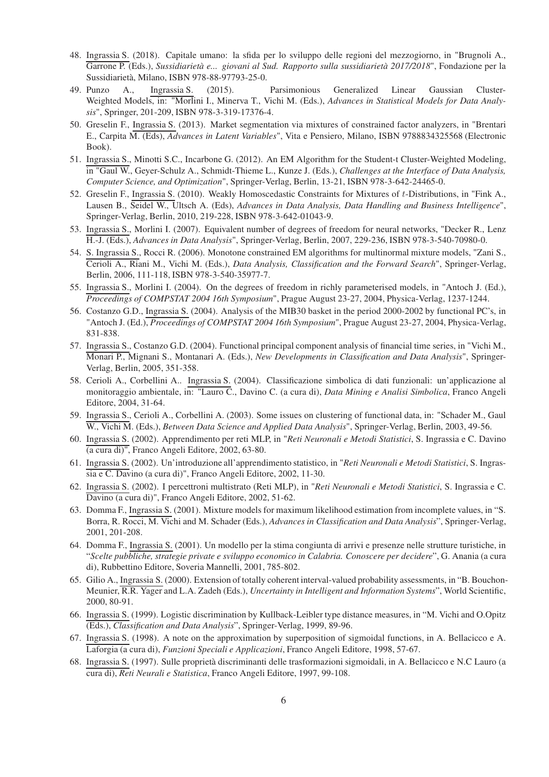- 48. Ingrassia S. (2018). Capitale umano: la sfida per lo sviluppo delle regioni del mezzogiorno, in "Brugnoli A., Garrone P. (Eds.), *Sussidiarietà e... giovani al Sud. Rapporto sulla sussidiarietà 2017/2018*", Fondazione per la Sussidiarietà, Milano, ISBN 978-88-97793-25-0.
- 49. Punzo A., Ingrassia S. (2015). Parsimonious Generalized Linear Gaussian Cluster-Weighted Models, in: "Morlini I., Minerva T., Vichi M. (Eds.), *Advances in Statistical Models for Data Analysis*", Springer, 201-209, ISBN 978-3-319-17376-4.
- 50. Greselin F., Ingrassia S. (2013). Market segmentation via mixtures of constrained factor analyzers, in "Brentari E., Carpita M. (Eds), *Advances in Latent Variables*", Vita e Pensiero, Milano, ISBN 9788834325568 (Electronic Book).
- 51. Ingrassia S., Minotti S.C., Incarbone G. (2012). An EM Algorithm for the Student-t Cluster-Weighted Modeling, in "Gaul W., Geyer-Schulz A., Schmidt-Thieme L., Kunze J. (Eds.), *Challenges at the Interface of Data Analysis, Computer Science, and Optimization*", Springer-Verlag, Berlin, 13-21, ISBN 978-3-642-24465-0.
- 52. Greselin F., Ingrassia S. (2010). Weakly Homoscedastic Constraints for Mixtures of t-Distributions, in "Fink A., Lausen B., Seidel W., Ultsch A. (Eds), *Advances in Data Analysis, Data Handling and Business Intelligence*", Springer-Verlag, Berlin, 2010, 219-228, ISBN 978-3-642-01043-9.
- 53. Ingrassia S., Morlini I. (2007). Equivalent number of degrees of freedom for neural networks, "Decker R., Lenz H.-J. (Eds.), *Advances in Data Analysis*", Springer-Verlag, Berlin, 2007, 229-236, ISBN 978-3-540-70980-0.
- 54. S. Ingrassia S., Rocci R. (2006). Monotone constrained EM algorithms for multinormal mixture models, "Zani S., Cerioli A., Riani M., Vichi M. (Eds.), *Data Analysis, Classification and the Forward Search*", Springer-Verlag, Berlin, 2006, 111-118, ISBN 978-3-540-35977-7.
- 55. Ingrassia S., Morlini I. (2004). On the degrees of freedom in richly parameterised models, in "Antoch J. (Ed.), *Proceedings of COMPSTAT 2004 16th Symposium*", Prague August 23-27, 2004, Physica-Verlag, 1237-1244.
- 56. Costanzo G.D., Ingrassia S. (2004). Analysis of the MIB30 basket in the period 2000-2002 by functional PC's, in "Antoch J. (Ed.), *Proceedings of COMPSTAT 2004 16th Symposium*", Prague August 23-27, 2004, Physica-Verlag, 831-838.
- 57. Ingrassia S., Costanzo G.D. (2004). Functional principal component analysis of financial time series, in "Vichi M., Monari P., Mignani S., Montanari A. (Eds.), *New Developments in Classification and Data Analysis*", Springer-Verlag, Berlin, 2005, 351-358.
- 58. Cerioli A., Corbellini A.. Ingrassia S. (2004). Classificazione simbolica di dati funzionali: un'applicazione al monitoraggio ambientale, in: "Lauro C., Davino C. (a cura di), *Data Mining e Analisi Simbolica*, Franco Angeli Editore, 2004, 31-64.
- 59. Ingrassia S., Cerioli A., Corbellini A. (2003). Some issues on clustering of functional data, in: "Schader M., Gaul W., Vichi M. (Eds.), *Between Data Science and Applied Data Analysis*", Springer-Verlag, Berlin, 2003, 49-56.
- 60. Ingrassia S. (2002). Apprendimento per reti MLP, in "*Reti Neuronali e Metodi Statistici*, S. Ingrassia e C. Davino (a cura di)", Franco Angeli Editore, 2002, 63-80.
- 61. Ingrassia S. (2002). Un'introduzione all'apprendimento statistico, in "*Reti Neuronali e Metodi Statistici*, S. Ingrassia e C. Davino (a cura di)", Franco Angeli Editore, 2002, 11-30.
- 62. Ingrassia S. (2002). I percettroni multistrato (Reti MLP), in "*Reti Neuronali e Metodi Statistici*, S. Ingrassia e C. Davino (a cura di)", Franco Angeli Editore, 2002, 51-62.
- 63. Domma F., Ingrassia S. (2001). Mixture models for maximum likelihood estimation from incomplete values, in "S. Borra, R. Rocci, M. Vichi and M. Schader (Eds.), *Advances in Classification and Data Analysis*", Springer-Verlag, 2001, 201-208.
- 64. Domma F., Ingrassia S. (2001). Un modello per la stima congiunta di arrivi e presenze nelle strutture turistiche, in "*Scelte pubbliche, strategie private e sviluppo economico in Calabria. Conoscere per decidere*", G. Anania (a cura di), Rubbettino Editore, Soveria Mannelli, 2001, 785-802.
- 65. Gilio A., Ingrassia S. (2000). Extension of totally coherent interval-valued probability assessments, in "B. Bouchon-Meunier, R.R. Yager and L.A. Zadeh (Eds.), *Uncertainty in Intelligent and Information Systems*", World Scientific, 2000, 80-91.
- 66. Ingrassia S. (1999). Logistic discrimination by Kullback-Leibler type distance measures, in "M. Vichi and O.Opitz (Eds.), *Classification and Data Analysis*", Springer-Verlag, 1999, 89-96.
- 67. Ingrassia S. (1998). A note on the approximation by superposition of sigmoidal functions, in A. Bellacicco e A. Laforgia (a cura di), *Funzioni Speciali e Applicazioni*, Franco Angeli Editore, 1998, 57-67.
- 68. Ingrassia S. (1997). Sulle proprietà discriminanti delle trasformazioni sigmoidali, in A. Bellacicco e N.C Lauro (a cura di), *Reti Neurali e Statistica*, Franco Angeli Editore, 1997, 99-108.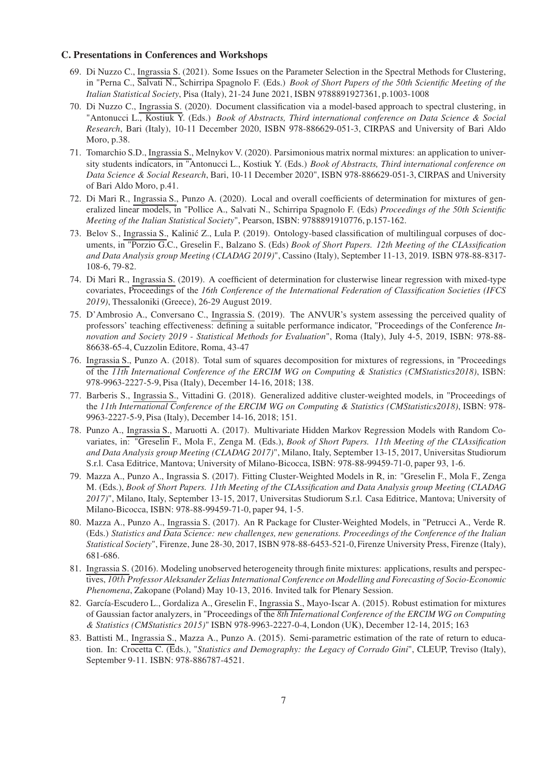#### C. Presentations in Conferences and Workshops

- 69. Di Nuzzo C., Ingrassia S. (2021). Some Issues on the Parameter Selection in the Spectral Methods for Clustering, in "Perna C., Salvati N., Schirripa Spagnolo F. (Eds.) *Book of Short Papers of the 50th Scientific Meeting of the Italian Statistical Society*, Pisa (Italy), 21-24 June 2021, ISBN 9788891927361, p.1003-1008
- 70. Di Nuzzo C., Ingrassia S. (2020). Document classification via a model-based approach to spectral clustering, in "Antonucci L., Kostiuk Y. (Eds.) *Book of Abstracts, Third international conference on Data Science & Social Research*, Bari (Italy), 10-11 December 2020, ISBN 978-886629-051-3, CIRPAS and University of Bari Aldo Moro, p.38.
- 71. Tomarchio S.D., Ingrassia S., Melnykov V. (2020). Parsimonious matrix normal mixtures: an application to university students indicators, in "Antonucci L., Kostiuk Y. (Eds.) *Book of Abstracts, Third international conference on Data Science & Social Research*, Bari, 10-11 December 2020", ISBN 978-886629-051-3, CIRPAS and University of Bari Aldo Moro, p.41.
- 72. Di Mari R., Ingrassia S., Punzo A. (2020). Local and overall coefficients of determination for mixtures of generalized linear models, in "Pollice A., Salvati N., Schirripa Spagnolo F. (Eds) *Proceedings of the 50th Scientific Meeting of the Italian Statistical Society*", Pearson, ISBN: 9788891910776, p.157-162.
- 73. Belov S., Ingrassia S., Kalinić Z., Lula P. (2019). Ontology-based classification of multilingual corpuses of documents, in "Porzio G.C., Greselin F., Balzano S. (Eds) *Book of Short Papers. 12th Meeting of the CLAssification and Data Analysis group Meeting (CLADAG 2019)*", Cassino (Italy), September 11-13, 2019. ISBN 978-88-8317- 108-6, 79-82.
- 74. Di Mari R., Ingrassia S. (2019). A coefficient of determination for clusterwise linear regression with mixed-type covariates, Proceedings of the *16th Conference of the International Federation of Classification Societies (IFCS 2019)*, Thessaloniki (Greece), 26-29 August 2019.
- 75. D'Ambrosio A., Conversano C., Ingrassia S. (2019). The ANVUR's system assessing the perceived quality of professors' teaching effectiveness: defining a suitable performance indicator, "Proceedings of the Conference *Innovation and Society 2019 - Statistical Methods for Evaluation*", Roma (Italy), July 4-5, 2019, ISBN: 978-88- 86638-65-4, Cuzzolin Editore, Roma, 43-47
- 76. Ingrassia S., Punzo A. (2018). Total sum of squares decomposition for mixtures of regressions, in "Proceedings of the *11th International Conference of the ERCIM WG on Computing & Statistics (CMStatistics2018)*, ISBN: 978-9963-2227-5-9, Pisa (Italy), December 14-16, 2018; 138.
- 77. Barberis S., Ingrassia S., Vittadini G. (2018). Generalized additive cluster-weighted models, in "Proceedings of the *11th International Conference of the ERCIM WG on Computing & Statistics (CMStatistics2018)*, ISBN: 978- 9963-2227-5-9, Pisa (Italy), December 14-16, 2018; 151.
- 78. Punzo A., Ingrassia S., Maruotti A. (2017). Multivariate Hidden Markov Regression Models with Random Covariates, in: "Greselin F., Mola F., Zenga M. (Eds.), *Book of Short Papers. 11th Meeting of the CLAssification and Data Analysis group Meeting (CLADAG 2017)*", Milano, Italy, September 13-15, 2017, Universitas Studiorum S.r.l. Casa Editrice, Mantova; University of Milano-Bicocca, ISBN: 978-88-99459-71-0, paper 93, 1-6.
- 79. Mazza A., Punzo A., Ingrassia S. (2017). Fitting Cluster-Weighted Models in R, in: "Greselin F., Mola F., Zenga M. (Eds.), *Book of Short Papers. 11th Meeting of the CLAssification and Data Analysis group Meeting (CLADAG 2017)*", Milano, Italy, September 13-15, 2017, Universitas Studiorum S.r.l. Casa Editrice, Mantova; University of Milano-Bicocca, ISBN: 978-88-99459-71-0, paper 94, 1-5.
- 80. Mazza A., Punzo A., Ingrassia S. (2017). An R Package for Cluster-Weighted Models, in "Petrucci A., Verde R. (Eds.) *Statistics and Data Science: new challenges, new generations. Proceedings of the Conference of the Italian Statistical Society*", Firenze, June 28-30, 2017, ISBN 978-88-6453-521-0, Firenze University Press, Firenze (Italy), 681-686.
- 81. Ingrassia S. (2016). Modeling unobserved heterogeneity through finite mixtures: applications, results and perspectives, *10*th *Professor Aleksander Zelias International Conference on Modelling and Forecasting of Socio-Economic Phenomena*, Zakopane (Poland) May 10-13, 2016. Invited talk for Plenary Session.
- 82. García-Escudero L., Gordaliza A., Greselin F., Ingrassia S., Mayo-Iscar A. (2015). Robust estimation for mixtures of Gaussian factor analyzers, in "Proceedings of the *8th International Conference of the ERCIM WG on Computing & Statistics (CMStatistics 2015)*" ISBN 978-9963-2227-0-4, London (UK), December 12-14, 2015; 163
- 83. Battisti M., Ingrassia S., Mazza A., Punzo A. (2015). Semi-parametric estimation of the rate of return to education. In: Crocetta C. (Eds.), "*Statistics and Demography: the Legacy of Corrado Gini*", CLEUP, Treviso (Italy), September 9-11. ISBN: 978-886787-4521.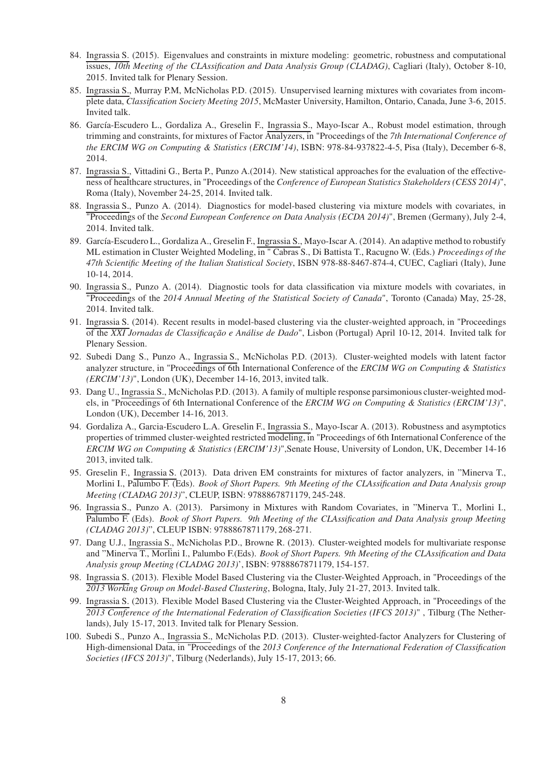- 84. Ingrassia S. (2015). Eigenvalues and constraints in mixture modeling: geometric, robustness and computational issues, *10th Meeting of the CLAssification and Data Analysis Group (CLADAG)*, Cagliari (Italy), October 8-10, 2015. Invited talk for Plenary Session.
- 85. Ingrassia S., Murray P.M, McNicholas P.D. (2015). Unsupervised learning mixtures with covariates from incomplete data, *Classification Society Meeting 2015*, McMaster University, Hamilton, Ontario, Canada, June 3-6, 2015. Invited talk.
- 86. García-Escudero L., Gordaliza A., Greselin F., Ingrassia S., Mayo-Iscar A., Robust model estimation, through trimming and constraints, for mixtures of Factor Analyzers, in "Proceedings of the *7th International Conference of the ERCIM WG on Computing & Statistics (ERCIM'14)*, ISBN: 978-84-937822-4-5, Pisa (Italy), December 6-8, 2014.
- 87. Ingrassia S., Vittadini G., Berta P., Punzo A.(2014). New statistical approaches for the evaluation of the effectiveness of healthcare structures, in "Proceedings of the *Conference of European Statistics Stakeholders (CESS 2014)*", Roma (Italy), November 24-25, 2014. Invited talk.
- 88. Ingrassia S., Punzo A. (2014). Diagnostics for model-based clustering via mixture models with covariates, in "Proceedings of the *Second European Conference on Data Analysis (ECDA 2014)*", Bremen (Germany), July 2-4, 2014. Invited talk.
- 89. García-Escudero L., Gordaliza A., Greselin F., Ingrassia S., Mayo-Iscar A. (2014). An adaptive method to robustify ML estimation in Cluster Weighted Modeling, in " Cabras S., Di Battista T., Racugno W. (Eds.) *Proceedings of the 47th Scientific Meeting of the Italian Statistical Society*, ISBN 978-88-8467-874-4, CUEC, Cagliari (Italy), June 10-14, 2014.
- 90. Ingrassia S., Punzo A. (2014). Diagnostic tools for data classification via mixture models with covariates, in "Proceedings of the *2014 Annual Meeting of the Statistical Society of Canada*", Toronto (Canada) May, 25-28, 2014. Invited talk.
- 91. Ingrassia S. (2014). Recent results in model-based clustering via the cluster-weighted approach, in "Proceedings of the *XXI Jornadas de Classificação e Análise de Dado*", Lisbon (Portugal) April 10-12, 2014. Invited talk for Plenary Session.
- 92. Subedi Dang S., Punzo A., Ingrassia S., McNicholas P.D. (2013). Cluster-weighted models with latent factor analyzer structure, in "Proceedings of 6th International Conference of the *ERCIM WG on Computing & Statistics (ERCIM'13)*", London (UK), December 14-16, 2013, invited talk.
- 93. Dang U., Ingrassia S., McNicholas P.D. (2013). A family of multiple response parsimonious cluster-weighted models, in "Proceedings of 6th International Conference of the *ERCIM WG on Computing & Statistics (ERCIM'13)*", London (UK), December 14-16, 2013.
- 94. Gordaliza A., Garcia-Escudero L.A. Greselin F., Ingrassia S., Mayo-Iscar A. (2013). Robustness and asymptotics properties of trimmed cluster-weighted restricted modeling, in "Proceedings of 6th International Conference of the *ERCIM WG on Computing & Statistics (ERCIM'13)*",Senate House, University of London, UK, December 14-16 2013, invited talk.
- 95. Greselin F., Ingrassia S. (2013). Data driven EM constraints for mixtures of factor analyzers, in "Minerva T., Morlini I., Palumbo F. (Eds). *Book of Short Papers. 9th Meeting of the CLAssification and Data Analysis group Meeting (CLADAG 2013)*", CLEUP, ISBN: 9788867871179, 245-248.
- 96. Ingrassia S., Punzo A. (2013). Parsimony in Mixtures with Random Covariates, in "Minerva T., Morlini I., Palumbo F. (Eds). *Book of Short Papers. 9th Meeting of the CLAssification and Data Analysis group Meeting (CLADAG 2013)*", CLEUP ISBN: 9788867871179, 268-271.
- 97. Dang U.J., Ingrassia S., McNicholas P.D., Browne R. (2013). Cluster-weighted models for multivariate response and "Minerva T., Morlini I., Palumbo F.(Eds). *Book of Short Papers. 9th Meeting of the CLAssification and Data Analysis group Meeting (CLADAG 2013)*', ISBN: 9788867871179, 154-157.
- 98. Ingrassia S. (2013). Flexible Model Based Clustering via the Cluster-Weighted Approach, in "Proceedings of the *2013 Working Group on Model-Based Clustering*, Bologna, Italy, July 21-27, 2013. Invited talk.
- 99. Ingrassia S. (2013). Flexible Model Based Clustering via the Cluster-Weighted Approach, in "Proceedings of the *2013 Conference of the International Federation of Classification Societies (IFCS 2013)*" , Tilburg (The Netherlands), July 15-17, 2013. Invited talk for Plenary Session.
- 100. Subedi S., Punzo A., Ingrassia S., McNicholas P.D. (2013). Cluster-weighted-factor Analyzers for Clustering of High-dimensional Data, in "Proceedings of the *2013 Conference of the International Federation of Classification Societies (IFCS 2013)*", Tilburg (Nederlands), July 15-17, 2013; 66.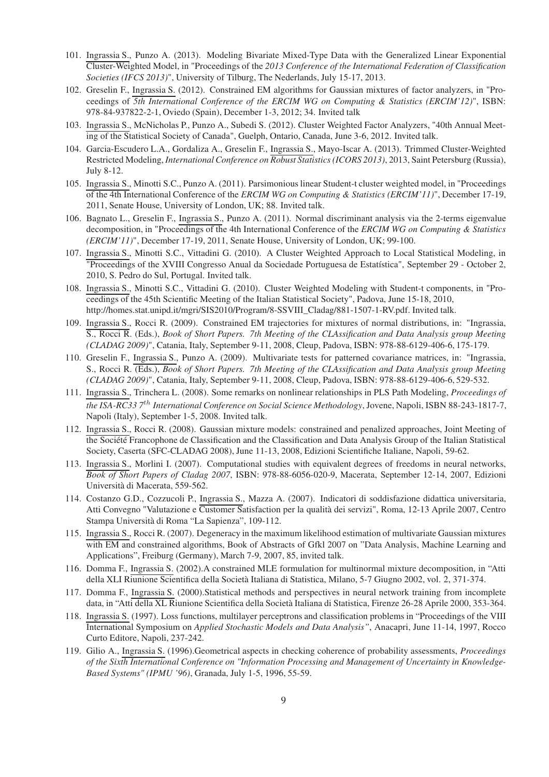- 101. Ingrassia S., Punzo A. (2013). Modeling Bivariate Mixed-Type Data with the Generalized Linear Exponential Cluster-Weighted Model, in "Proceedings of the *2013 Conference of the International Federation of Classification Societies (IFCS 2013)*", University of Tilburg, The Nederlands, July 15-17, 2013.
- 102. Greselin F., Ingrassia S. (2012). Constrained EM algorithms for Gaussian mixtures of factor analyzers, in "Proceedings of *5th International Conference of the ERCIM WG on Computing & Statistics (ERCIM'12)*", ISBN: 978-84-937822-2-1, Oviedo (Spain), December 1-3, 2012; 34. Invited talk
- 103. Ingrassia S., McNicholas P., Punzo A., Subedi S. (2012). Cluster Weighted Factor Analyzers, "40th Annual Meeting of the Statistical Society of Canada", Guelph, Ontario, Canada, June 3-6, 2012. Invited talk.
- 104. Garcia-Escudero L.A., Gordaliza A., Greselin F., Ingrassia S., Mayo-Iscar A. (2013). Trimmed Cluster-Weighted Restricted Modeling, *International Conference on Robust Statistics (ICORS 2013)*, 2013, Saint Petersburg (Russia), July 8-12.
- 105. Ingrassia S., Minotti S.C., Punzo A. (2011). Parsimonious linear Student-t cluster weighted model, in "Proceedings of the 4th International Conference of the *ERCIM WG on Computing & Statistics (ERCIM'11)*", December 17-19, 2011, Senate House, University of London, UK; 88. Invited talk.
- 106. Bagnato L., Greselin F., Ingrassia S., Punzo A. (2011). Normal discriminant analysis via the 2-terms eigenvalue decomposition, in "Proceedings of the 4th International Conference of the *ERCIM WG on Computing & Statistics (ERCIM'11)*", December 17-19, 2011, Senate House, University of London, UK; 99-100.
- 107. Ingrassia S., Minotti S.C., Vittadini G. (2010). A Cluster Weighted Approach to Local Statistical Modeling, in "Proceedings of the XVIII Congresso Anual da Sociedade Portuguesa de Estatística", September 29 - October 2, 2010, S. Pedro do Sul, Portugal. Invited talk.
- 108. Ingrassia S., Minotti S.C., Vittadini G. (2010). Cluster Weighted Modeling with Student-t components, in "Proceedings of the 45th Scientific Meeting of the Italian Statistical Society", Padova, June 15-18, 2010, http://homes.stat.unipd.it/mgri/SIS2010/Program/8-SSVIII\_Cladag/881-1507-1-RV.pdf. Invited talk.
- 109. Ingrassia S., Rocci R. (2009). Constrained EM trajectories for mixtures of normal distributions, in: "Ingrassia, S., Rocci R. (Eds.), *Book of Short Papers. 7th Meeting of the CLAssification and Data Analysis group Meeting (CLADAG 2009)*", Catania, Italy, September 9-11, 2008, Cleup, Padova, ISBN: 978-88-6129-406-6, 175-179.
- 110. Greselin F., Ingrassia S., Punzo A. (2009). Multivariate tests for patterned covariance matrices, in: "Ingrassia, S., Rocci R. (Eds.), *Book of Short Papers. 7th Meeting of the CLAssification and Data Analysis group Meeting (CLADAG 2009)*", Catania, Italy, September 9-11, 2008, Cleup, Padova, ISBN: 978-88-6129-406-6, 529-532.
- 111. Ingrassia S., Trinchera L. (2008). Some remarks on nonlinear relationships in PLS Path Modeling, *Proceedings of the ISA-RC33 7th International Conference on Social Science Methodology*, Jovene, Napoli, ISBN 88-243-1817-7, Napoli (Italy), September 1-5, 2008. Invited talk.
- 112. Ingrassia S., Rocci R. (2008). Gaussian mixture models: constrained and penalized approaches, Joint Meeting of the Société Francophone de Classification and the Classification and Data Analysis Group of the Italian Statistical Society, Caserta (SFC-CLADAG 2008), June 11-13, 2008, Edizioni Scientifiche Italiane, Napoli, 59-62.
- 113. Ingrassia S., Morlini I. (2007). Computational studies with equivalent degrees of freedoms in neural networks, *Book of Short Papers of Cladag 2007*, ISBN: 978-88-6056-020-9, Macerata, September 12-14, 2007, Edizioni Università di Macerata, 559-562.
- 114. Costanzo G.D., Cozzucoli P., Ingrassia S., Mazza A. (2007). Indicatori di soddisfazione didattica universitaria, Atti Convegno "Valutazione e Customer Satisfaction per la qualità dei servizi", Roma, 12-13 Aprile 2007, Centro Stampa Università di Roma "La Sapienza", 109-112.
- 115. Ingrassia S., Rocci R. (2007). Degeneracy in the maximum likelihood estimation of multivariate Gaussian mixtures with EM and constrained algorithms, Book of Abstracts of Gfkl 2007 on "Data Analysis, Machine Learning and Applications", Freiburg (Germany), March 7-9, 2007, 85, invited talk.
- 116. Domma F., Ingrassia S. (2002).A constrained MLE formulation for multinormal mixture decomposition, in "Atti della XLI Riunione Scientifica della Società Italiana di Statistica, Milano, 5-7 Giugno 2002, vol. 2, 371-374.
- 117. Domma F., Ingrassia S. (2000).Statistical methods and perspectives in neural network training from incomplete data, in "Atti della XL Riunione Scientifica della Società Italiana di Statistica, Firenze 26-28 Aprile 2000, 353-364.
- 118. Ingrassia S. (1997). Loss functions, multilayer perceptrons and classification problems in "Proceedings of the VIII International Symposium on *Applied Stochastic Models and Data Analysis"*, Anacapri, June 11-14, 1997, Rocco Curto Editore, Napoli, 237-242.
- 119. Gilio A., Ingrassia S. (1996).Geometrical aspects in checking coherence of probability assessments, *Proceedings of the Sixth International Conference on "Information Processing and Management of Uncertainty in Knowledge-Based Systems" (IPMU '96)*, Granada, July 1-5, 1996, 55-59.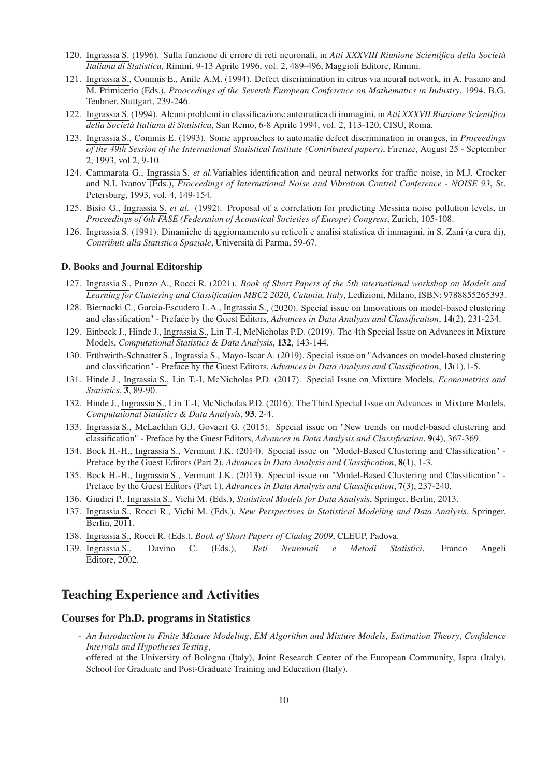- 120. Ingrassia S. (1996). Sulla funzione di errore di reti neuronali, in *Atti XXXVIII Riunione Scientifica della Società Italiana di Statistica*, Rimini, 9-13 Aprile 1996, vol. 2, 489-496, Maggioli Editore, Rimini.
- 121. Ingrassia S., Commis E., Anile A.M. (1994). Defect discrimination in citrus via neural network, in A. Fasano and M. Primicerio (Eds.), *Proocedings of the Seventh European Conference on Mathematics in Industry*, 1994, B.G. Teubner, Stuttgart, 239-246.
- 122. Ingrassia S. (1994). Alcuni problemi in classificazione automatica di immagini, in *Atti XXXVII Riunione Scientifica della Società Italiana di Statistica*, San Remo, 6-8 Aprile 1994, vol. 2, 113-120, CISU, Roma.
- 123. Ingrassia S., Commis E. (1993). Some approaches to automatic defect discrimination in oranges, in *Proceedings of the 49th Session of the International Statistical Institute (Contributed papers)*, Firenze, August 25 - September 2, 1993, vol 2, 9-10.
- 124. Cammarata G., Ingrassia S. *et al.*Variables identification and neural networks for traffic noise, in M.J. Crocker and N.I. Ivanov (Eds.), *Proceedings of International Noise and Vibration Control Conference - NOISE 93*, St. Petersburg, 1993, vol. 4, 149-154.
- 125. Bisio G., Ingrassia S. *et al.* (1992). Proposal of a correlation for predicting Messina noise pollution levels, in *Proceedings of 6th FASE (Federation of Acoustical Societies of Europe) Congress*, Zurich, 105-108.
- 126. Ingrassia S. (1991). Dinamiche di aggiornamento su reticoli e analisi statistica di immagini, in S. Zani (a cura di), *Contributi alla Statistica Spaziale*, Università di Parma, 59-67.

#### D. Books and Journal Editorship

- 127. Ingrassia S., Punzo A., Rocci R. (2021). *Book of Short Papers of the 5th international workshop on Models and Learning for Clustering and Classification MBC2 2020, Catania, Italy*, Ledizioni, Milano, ISBN: 9788855265393.
- 128. Biernacki C., Garcia-Escudero L.A., Ingrassia S., (2020). Special issue on Innovations on model-based clustering and classification" - Preface by the Guest Editors, *Advances in Data Analysis and Classification*, 14(2), 231-234.
- 129. Einbeck J., Hinde J., Ingrassia S., Lin T.-I, McNicholas P.D. (2019). The 4th Special Issue on Advances in Mixture Models, *Computational Statistics & Data Analysis*, 132, 143-144.
- 130. Frühwirth-Schnatter S., Ingrassia S., Mayo-Iscar A. (2019). Special issue on "Advances on model-based clustering and classification" - Preface by the Guest Editors, *Advances in Data Analysis and Classification*, 13(1),1-5.
- 131. Hinde J., Ingrassia S., Lin T.-I, McNicholas P.D. (2017). Special Issue on Mixture Models, *Econometrics and Statistics*, 3, 89-90.
- 132. Hinde J., Ingrassia S., Lin T.-I, McNicholas P.D. (2016). The Third Special Issue on Advances in Mixture Models, *Computational Statistics & Data Analysis*, 93, 2-4.
- 133. Ingrassia S., McLachlan G.J, Govaert G. (2015). Special issue on "New trends on model-based clustering and classification" - Preface by the Guest Editors, *Advances in Data Analysis and Classification*, 9(4), 367-369.
- 134. Bock H.-H., Ingrassia S., Vermunt J.K. (2014). Special issue on "Model-Based Clustering and Classification" Preface by the Guest Editors (Part 2), *Advances in Data Analysis and Classification*, 8(1), 1-3.
- 135. Bock H.-H., Ingrassia S., Vermunt J.K. (2013). Special issue on "Model-Based Clustering and Classification" Preface by the Guest Editors (Part 1), *Advances in Data Analysis and Classification*, 7(3), 237-240.
- 136. Giudici P., Ingrassia S., Vichi M. (Eds.), *Statistical Models for Data Analysis*, Springer, Berlin, 2013.
- 137. Ingrassia S., Rocci R., Vichi M. (Eds.), *New Perspectives in Statistical Modeling and Data Analysis*, Springer, Berlin, 2011.
- 138. Ingrassia S., Rocci R. (Eds.), *Book of Short Papers of Cladag 2009*, CLEUP, Padova.
- 139. Ingrassia S., Davino C. (Eds.), *Reti Neuronali e Metodi Statistici*, Franco Angeli Editore, 2002.

### Teaching Experience and Activities

#### Courses for Ph.D. programs in Statistics

- *An Introduction to Finite Mixture Modeling*, *EM Algorithm and Mixture Models*, *Estimation Theory*, *Confidence Intervals and Hypotheses Testing*,

offered at the University of Bologna (Italy), Joint Research Center of the European Community, Ispra (Italy), School for Graduate and Post-Graduate Training and Education (Italy).